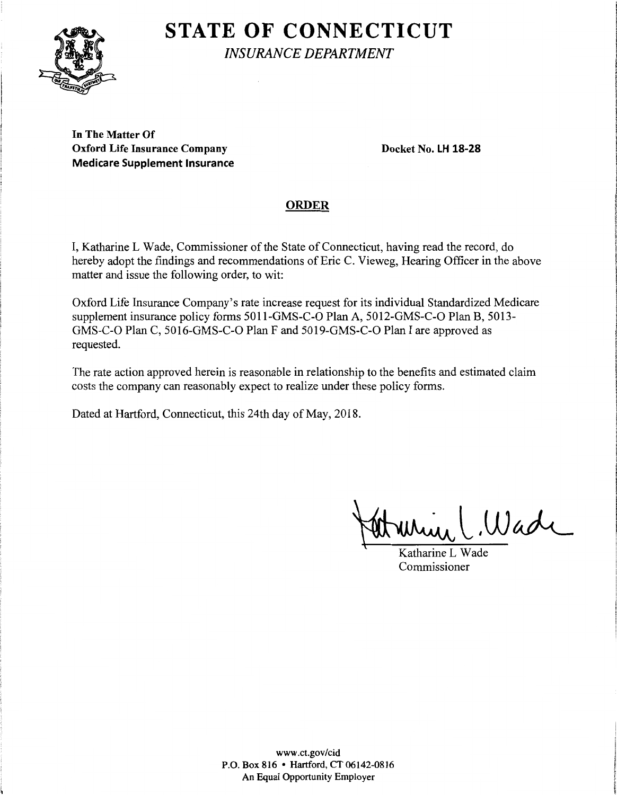# **STATE OF CONNECTICUT**



\

*INSURANCE DEPARTMENT* I

**In The Matter Of Oxford Life Insurance Company Docket No. LH 18-28 Medicare Supplement Insurance** l

of the company of the **Including Care (OR)** the consensus of

ing manuscriptions and continues **PERMIT** *<i><u><b>Theory*</u>

**Johnson** 

"Children 414"

# **ORDER JUST AND ARRANGEMENT CONSUMING STATE**

I, Katharine L Wade, Commissioner of the State of Connecticut, having read the record, do hereby adopt the findings and recommendations of Eric C. Vieweg, Hearing Officer in the above matter and issue the following order, to wit:

Oxford Life Insurance Company's rate increase request for its individual Standardized Medicare supplement insurance policy forms 5011-GMS-C-O Plan A, 5012-GMS-C-O Plan B, 5013- GMS-C-O Plan C, 5016-GMS-C-O Plan F and 5019-GMS-C-O Plan I are approved as requested.

The rate action approved herein is reasonable in relationship to the benefits and estimated claim costs the company can reasonably expect to realize under these policy forms.

Dated at Hartford, Connecticut, this 24th day of May, 2018.

Wade

Katharine L Wade Commissioner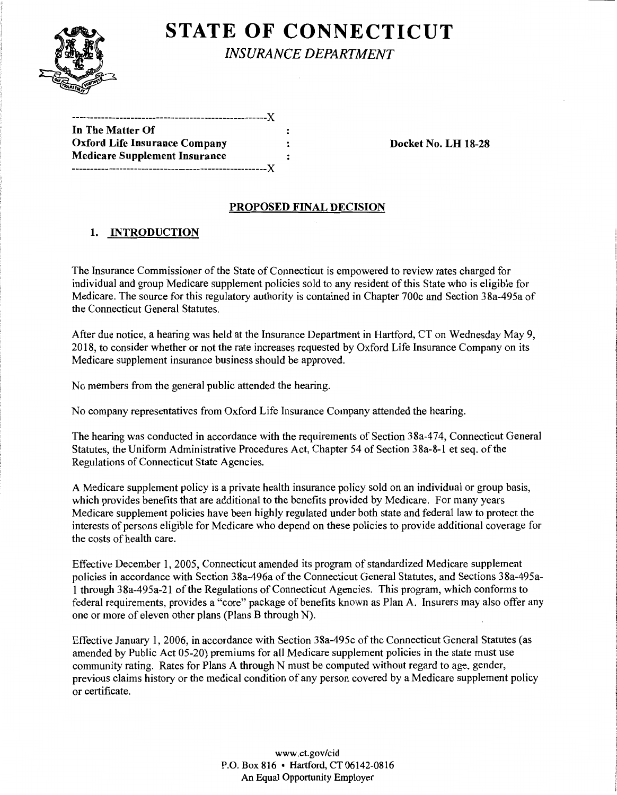

**STATE OF CONNECTICUT** 

*INSURANCE DEPARTMENT* 

| In The Matter Of                     |  |
|--------------------------------------|--|
| <b>Oxford Life Insurance Company</b> |  |
| Medicare Supplement Insurance        |  |
|                                      |  |

**Docket No. LH 18-28** 

### **PROPOSED FINAL DECISION**

## **1. INTRODUCTION**

The Insurance Commissioner of the State of Connecticut is empowered to review rates charged for individual and group Medicare supplement policies sold to any resident of this State who is eligible for Medicare. The source for this regulatory authority is contained in Chapter 700c and Section 38a-495a of the Connecticut General Statutes.

After due notice, a hearing was held at the Insurance Department in Hartford, CT on Wednesday May 9, 2018, to consider whether or not the rate increases requested by Oxford Life Insurance Company on its Medicare supplement insurance business should be approved.

No members from the general public attended the hearing.

No company representatives from Oxford Life Insurance Company attended the hearing.

The hearing was conducted in accordance with the requirements of Section 38a-474, Connecticut General Statutes, the Uniform Administrative Procedures Act, Chapter 54 of Section 3 Sa-8-1 et seq. of the Regulations of Connecticut State Agencies.

A Medicare supplement policy is a private health insurance policy sold on an individual or group basis, which provides benefits that are additional to the benefits provided by Medicare. For many years Medicare supplement policies have been highly regulated under both state and federal law to protect the interests of persons eligible for Medicare who depend on these policies to provide additional coverage for the costs of health care.

Effective December 1, 2005, Connecticut amended its program of standardized Medicare supplement policies in accordance with Section 38a-496a of the Connecticut General Statutes, and Sections 38a-495a-1 through 38a-495a-21 ofthe Regulations of Connecticut Agencies. This program, which conforms to federal requirements, provides a "core" package of benefits known as Plan A. Insurers may also offer any one or more of eleven other plans (Plans B through N).

Effective January 1, 2006, in accordance with Section 38a-495c of the Connecticut General Statutes (as amended by Public Act 05-20) premiums for all Medicare supplement policies in the state must use community rating. Rates for Plans A through N must be computed without regard to age, gender, previous claims history or the medical condition of any person covered by a Medicare supplement policy or certificate.

> www.ct.gov/cid P.O. Box 816 • Hartford, CT 06142-0816 An Equal Opportunity Employer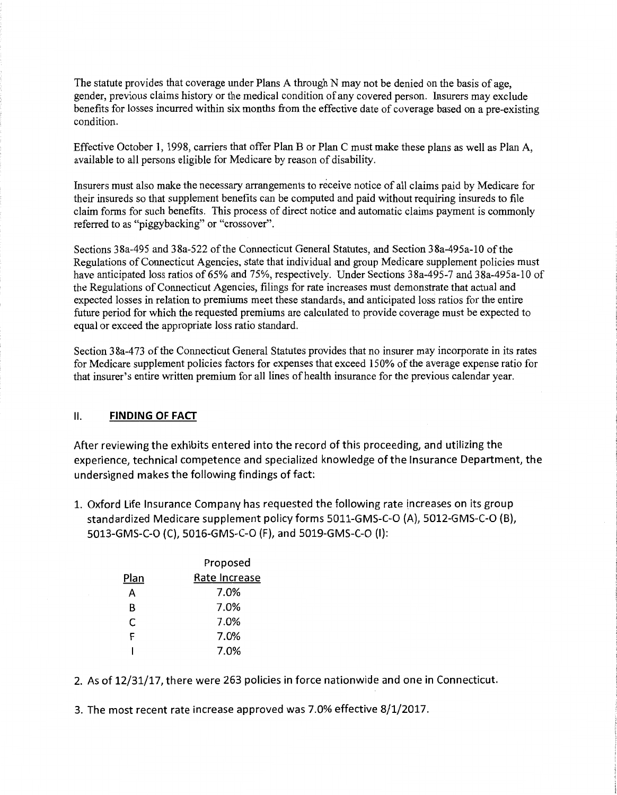The statute provides that coverage under Plans A through N may not be denied on the basis of age, gender, previous claims history or the medical condition of any covered person. Insurers may exclude benefits for losses incurred within six months from the effective date of coverage based on a pre-existing condition.

Effective October 1, 1998, carriers that offer Plan B or Plan C must make these plans as well as Plan A, available to all persons eligible for Medicare by reason of disability.

Insurers must also make the necessary arrangements to receive notice of all claims paid by Medicare for their insureds so that supplement benefits can be computed and paid without requiring insureds to file claim forms for such benefits. This process of direct notice and automatic claims payment is commonly referred to as "piggybacking" or "crossover".

Sections 38a-495 and 38a-522 of the Connecticut General Statutes, and Section 38a-495a-10 of the Regulations of Connecticut Agencies, state that individual and group Medicare supplement policies must have anticipated loss ratios of 65% and 75%, respectively. Under Sections 38a-495-7 and 38a-495a-10 of the Regulations of Connecticut Agencies, filings for rate increases must demonstrate that actual and expected losses in relation to premiums meet these standards, and anticipated loss ratios for the entire future period for which the requested premiums are calculated to provide coverage must be expected to equal or exceed the appropriate loss ratio standard.

Section 3 8a-4 73 of the Connecticut General Statutes provides that no insurer may incorporate in its rates for Medicare supplement policies factors for expenses that exceed 150% of the average expense ratio for that insurer's entire written premium for all lines of health insurance for the previous calendar year.

#### **11. FINDING OF FACT**

After reviewing the exhibits entered into the record of this proceeding, and utilizing the experience, technical competence and specialized knowledge of the Insurance Department, the undersigned makes the following findings of fact:

1. Oxford Life Insurance Company has requested the following rate increases on its group standardized Medicare supplement policy forms 5011-GMS-C-O (A), 5012-GMS-C-O (B), 5013-GMS-C-O (C), 5016-GMS-C-O (F), and 5019-GMS-C-O (I):

|      | Proposed      |  |
|------|---------------|--|
| Plan | Rate Increase |  |
| А    | 7.0%          |  |
| R    | 7.0%          |  |
| C    | 7.0%          |  |
| F    | 7.0%          |  |
|      | 7.0%          |  |

2. As of 12/31/17, there were 263 policies in force nationwide and one in Connecticut.

3. The most recent rate increase approved was 7.0% effective 8/1/2017.